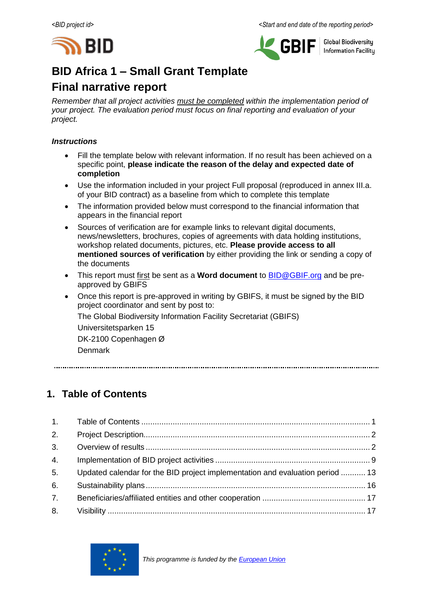



**Global Biodiversity Information Facilitu** 

# **BID Africa 1 – Small Grant Template**

# **Final narrative report**

*Remember that all project activities must be completed within the implementation period of your project. The evaluation period must focus on final reporting and evaluation of your project.*

## *Instructions*

- Fill the template below with relevant information. If no result has been achieved on a specific point, **please indicate the reason of the delay and expected date of completion**
- Use the information included in your project Full proposal (reproduced in annex III.a. of your BID contract) as a baseline from which to complete this template
- The information provided below must correspond to the financial information that appears in the financial report
- Sources of verification are for example links to relevant digital documents, news/newsletters, brochures, copies of agreements with data holding institutions, workshop related documents, pictures, etc. **Please provide access to all mentioned sources of verification** by either providing the link or sending a copy of the documents
- This report must first be sent as a **Word document** to **BID@GBIF.org** and be preapproved by GBIFS
- Once this report is pre-approved in writing by GBIFS, it must be signed by the BID project coordinator and sent by post to: The Global Biodiversity Information Facility Secretariat (GBIFS) Universitetsparken 15 DK-2100 Copenhagen Ø Denmark

# <span id="page-0-0"></span>**1. Table of Contents**

| 2.             |                                                                               |  |
|----------------|-------------------------------------------------------------------------------|--|
| 3 <sub>1</sub> |                                                                               |  |
| 4.             |                                                                               |  |
| 5 <sub>1</sub> | Updated calendar for the BID project implementation and evaluation period  13 |  |
| 6.             |                                                                               |  |
| 7.             |                                                                               |  |
| 8.             |                                                                               |  |

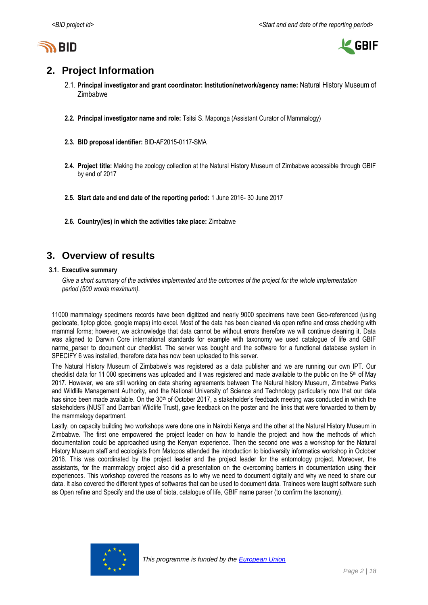



# <span id="page-1-0"></span>**2. Project Information**

- 2.1. **Principal investigator and grant coordinator: Institution/network/agency name:** Natural History Museum of Zimbabwe
- **2.2. Principal investigator name and role:** Tsitsi S. Maponga (Assistant Curator of Mammalogy)
- **2.3. BID proposal identifier:** BID-AF2015-0117-SMA
- **2.4. Project title:** Making the zoology collection at the Natural History Museum of Zimbabwe accessible through GBIF by end of 2017
- **2.5. Start date and end date of the reporting period:** 1 June 2016- 30 June 2017
- **2.6. Country(ies) in which the activities take place:** Zimbabwe

# <span id="page-1-1"></span>**3. Overview of results**

#### **3.1. Executive summary**

*Give a short summary of the activities implemented and the outcomes of the project for the whole implementation period (500 words maximum).*

11000 mammalogy specimens records have been digitized and nearly 9000 specimens have been Geo-referenced (using geolocate, tiptop globe, google maps) into excel. Most of the data has been cleaned via open refine and cross checking with mammal forms; however, we acknowledge that data cannot be without errors therefore we will continue cleaning it. Data was aligned to Darwin Core international standards for example with taxonomy we used catalogue of life and GBIF narme\_parser to document our checklist. The server was bought and the software for a functional database system in SPECIFY 6 was installed, therefore data has now been uploaded to this server.

The Natural History Museum of Zimbabwe's was registered as a data publisher and we are running our own IPT. Our checklist data for 11 000 specimens was uploaded and it was registered and made available to the public on the  $5<sup>th</sup>$  of May 2017. However, we are still working on data sharing agreements between The Natural history Museum, Zimbabwe Parks and Wildlife Management Authority, and the National University of Science and Technology particularly now that our data has since been made available. On the 30<sup>th</sup> of October 2017, a stakeholder's feedback meeting was conducted in which the stakeholders (NUST and Dambari Wildlife Trust), gave feedback on the poster and the links that were forwarded to them by the mammalogy department.

Lastly, on capacity building two workshops were done one in Nairobi Kenya and the other at the Natural History Museum in Zimbabwe. The first one empowered the project leader on how to handle the project and how the methods of which documentation could be approached using the Kenyan experience. Then the second one was a workshop for the Natural History Museum staff and ecologists from Matopos attended the introduction to biodiversity informatics workshop in October 2016. This was coordinated by the project leader and the project leader for the entomology project. Moreover, the assistants, for the mammalogy project also did a presentation on the overcoming barriers in documentation using their experiences. This workshop covered the reasons as to why we need to document digitally and why we need to share our data. It also covered the different types of softwares that can be used to document data. Trainees were taught software such as Open refine and Specify and the use of biota, catalogue of life, GBIF name parser (to confirm the taxonomy).

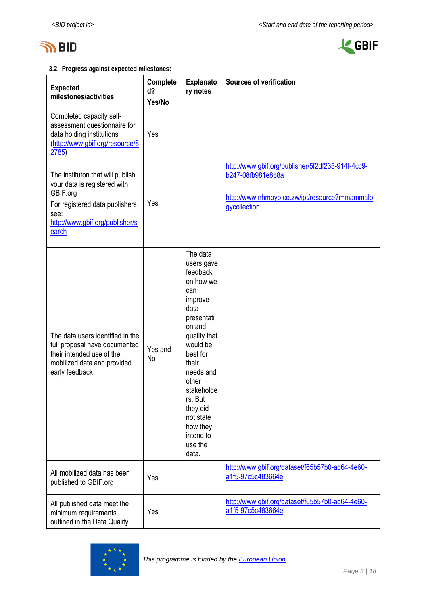



# **3.2. Progress against expected milestones:**

| <b>Expected</b><br>milestones/activities                                                                                                                           | Complete<br>d?<br>Yes/No | <b>Explanato</b><br>ry notes                                                                                                                                                                                                                                            | <b>Sources of verification</b>                                                                                                           |
|--------------------------------------------------------------------------------------------------------------------------------------------------------------------|--------------------------|-------------------------------------------------------------------------------------------------------------------------------------------------------------------------------------------------------------------------------------------------------------------------|------------------------------------------------------------------------------------------------------------------------------------------|
| Completed capacity self-<br>assessment questionnaire for<br>data holding institutions<br>(http://www.gbif.org/resource/8<br>2785)                                  | Yes                      |                                                                                                                                                                                                                                                                         |                                                                                                                                          |
| The instituton that will publish<br>your data is registered with<br>GBIF.org<br>For registered data publishers<br>see:<br>http://www.gbif.org/publisher/s<br>earch | Yes                      |                                                                                                                                                                                                                                                                         | http://www.gbif.org/publisher/5f2df235-914f-4cc9-<br>b247-08fb981e8b8a<br>http://www.nhmbyo.co.zw/ipt/resource?r=mammalo<br>gycollection |
| The data users identified in the<br>full proposal have documented<br>their intended use of the<br>mobilized data and provided<br>early feedback                    | Yes and<br>No            | The data<br>users gave<br>feedback<br>on how we<br>can<br>improve<br>data<br>presentati<br>on and<br>quality that<br>would be<br>best for<br>their<br>needs and<br>other<br>stakeholde<br>rs. But<br>they did<br>not state<br>how they<br>intend to<br>use the<br>data. |                                                                                                                                          |
| All mobilized data has been<br>published to GBIF.org                                                                                                               | Yes                      |                                                                                                                                                                                                                                                                         | http://www.gbif.org/dataset/f65b57b0-ad64-4e60-<br>a1f5-97c5c483664e                                                                     |
| All published data meet the<br>minimum requirements<br>outlined in the Data Quality                                                                                | Yes                      |                                                                                                                                                                                                                                                                         | http://www.gbif.org/dataset/f65b57b0-ad64-4e60-<br>a1f5-97c5c483664e                                                                     |

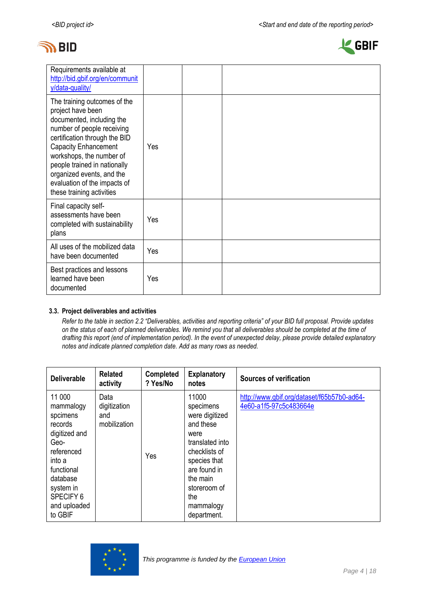



| Requirements available at<br>http://bid.gbif.org/en/communit<br>y/data-quality/                                                                                                                                                                                                                                                    |     |  |  |  |
|------------------------------------------------------------------------------------------------------------------------------------------------------------------------------------------------------------------------------------------------------------------------------------------------------------------------------------|-----|--|--|--|
| The training outcomes of the<br>project have been<br>documented, including the<br>number of people receiving<br>certification through the BID<br><b>Capacity Enhancement</b><br>workshops, the number of<br>people trained in nationally<br>organized events, and the<br>evaluation of the impacts of<br>these training activities | Yes |  |  |  |
| Final capacity self-<br>assessments have been<br>completed with sustainability<br>plans                                                                                                                                                                                                                                            | Yes |  |  |  |
| All uses of the mobilized data<br>have been documented                                                                                                                                                                                                                                                                             | Yes |  |  |  |
| Best practices and lessons<br>learned have been<br>documented                                                                                                                                                                                                                                                                      | Yes |  |  |  |

### **3.3. Project deliverables and activities**

*Refer to the table in section 2.2 "Deliverables, activities and reporting criteria" of your BID full proposal. Provide updates on the status of each of planned deliverables. We remind you that all deliverables should be completed at the time of drafting this report (end of implementation period). In the event of unexpected delay, please provide detailed explanatory notes and indicate planned completion date. Add as many rows as needed.*

| <b>Deliverable</b>                                                                                                                                                         | <b>Related</b><br>activity                  | <b>Completed</b><br>? Yes/No | <b>Explanatory</b><br>notes                                                                                                                                                                  | Sources of verification                                              |
|----------------------------------------------------------------------------------------------------------------------------------------------------------------------------|---------------------------------------------|------------------------------|----------------------------------------------------------------------------------------------------------------------------------------------------------------------------------------------|----------------------------------------------------------------------|
| 11 000<br>mammalogy<br>spcimens<br>records<br>digitized and<br>Geo-<br>referenced<br>into a<br>functional<br>database<br>system in<br>SPECIFY 6<br>and uploaded<br>to GBIF | Data<br>digitization<br>and<br>mobilization | Yes                          | 11000<br>specimens<br>were digitized<br>and these<br>were<br>translated into<br>checklists of<br>species that<br>are found in<br>the main<br>storeroom of<br>the<br>mammalogy<br>department. | http://www.gbif.org/dataset/f65b57b0-ad64-<br>4e60-a1f5-97c5c483664e |

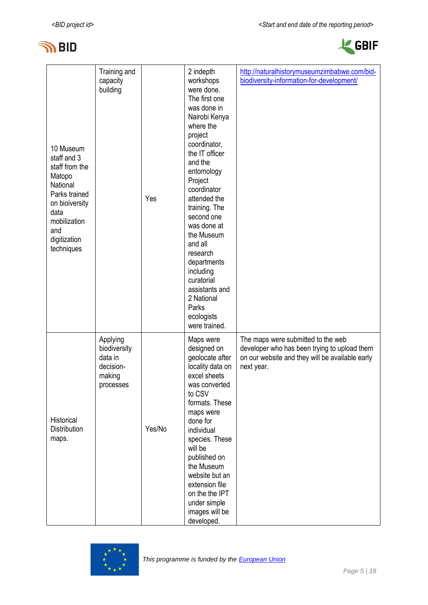



| 10 Museum<br>staff and 3<br>staff from the<br>Matopo<br>National<br>Parks trained<br>on bioiversity<br>data<br>mobilization<br>and<br>digitization<br>techniques | Training and<br>capacity<br>building                                    | Yes    | 2 indepth<br>workshops<br>were done.<br>The first one<br>was done in<br>Nairobi Kenya<br>where the<br>project<br>coordinator,<br>the IT officer<br>and the<br>entomology<br>Project<br>coordinator<br>attended the<br>training. The<br>second one<br>was done at<br>the Museum<br>and all<br>research<br>departments<br>including<br>curatorial<br>assistants and<br>2 National<br>Parks<br>ecologists<br>were trained. | http://naturalhistorymuseumzimbabwe.com/bid-<br>biodiversity-information-for-development/                                                           |
|------------------------------------------------------------------------------------------------------------------------------------------------------------------|-------------------------------------------------------------------------|--------|-------------------------------------------------------------------------------------------------------------------------------------------------------------------------------------------------------------------------------------------------------------------------------------------------------------------------------------------------------------------------------------------------------------------------|-----------------------------------------------------------------------------------------------------------------------------------------------------|
| Historical<br><b>Distribution</b><br>maps.                                                                                                                       | Applying<br>biodiversity<br>data in<br>decision-<br>making<br>processes | Yes/No | Maps were<br>designed on<br>geolocate after<br>locality data on<br>excel sheets<br>was converted<br>to CSV<br>formats. These<br>maps were<br>done for<br>individual<br>species. These<br>will be<br>published on<br>the Museum<br>website but an<br>extension file<br>on the the IPT<br>under simple<br>images will be<br>developed.                                                                                    | The maps were submitted to the web<br>developer who has been trying to upload them<br>on our website and they will be available early<br>next year. |

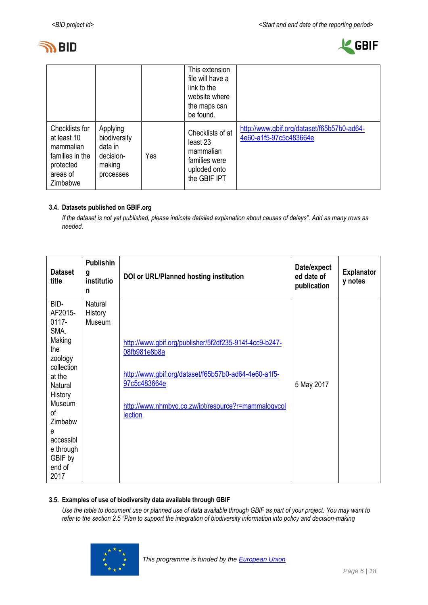



|                                                                                                           |                                                                         |     | This extension<br>file will have a<br>link to the<br>website where<br>the maps can<br>be found. |                                                                      |
|-----------------------------------------------------------------------------------------------------------|-------------------------------------------------------------------------|-----|-------------------------------------------------------------------------------------------------|----------------------------------------------------------------------|
| <b>Checklists for</b><br>at least 10<br>mammalian<br>families in the<br>protected<br>areas of<br>Zimbabwe | Applying<br>biodiversity<br>data in<br>decision-<br>making<br>processes | Yes | Checklists of at<br>least 23<br>mammalian<br>families were<br>uploded onto<br>the GBIF IPT      | http://www.gbif.org/dataset/f65b57b0-ad64-<br>4e60-a1f5-97c5c483664e |

### **3.4. Datasets published on GBIF.org**

*If the dataset is not yet published, please indicate detailed explanation about causes of delays". Add as many rows as needed.*

| <b>Dataset</b><br>title                                                                                                                                                                              | <b>Publishin</b><br>g<br>institutio<br>n | DOI or URL/Planned hosting institution                                                                                                                                                                           | Date/expect<br>ed date of<br>publication | <b>Explanator</b><br>y notes |
|------------------------------------------------------------------------------------------------------------------------------------------------------------------------------------------------------|------------------------------------------|------------------------------------------------------------------------------------------------------------------------------------------------------------------------------------------------------------------|------------------------------------------|------------------------------|
| BID-<br>AF2015-<br>$0117 -$<br>SMA.<br>Making<br>the<br>zoology<br>collection<br>at the<br>Natural<br>History<br>Museum<br>0f<br>Zimbabw<br>e<br>accessibl<br>e through<br>GBIF by<br>end of<br>2017 | <b>Natural</b><br>History<br>Museum      | http://www.gbif.org/publisher/5f2df235-914f-4cc9-b247-<br>08fb981e8b8a<br>http://www.gbif.org/dataset/f65b57b0-ad64-4e60-a1f5-<br>97c5c483664e<br>http://www.nhmbyo.co.zw/ipt/resource?r=mammalogycol<br>lection | 5 May 2017                               |                              |

### **3.5. Examples of use of biodiversity data available through GBIF**

*Use the table to document use or planned use of data available through GBIF as part of your project. You may want to refer to the section 2.5 "Plan to support the integration of biodiversity information into policy and decision-making* 

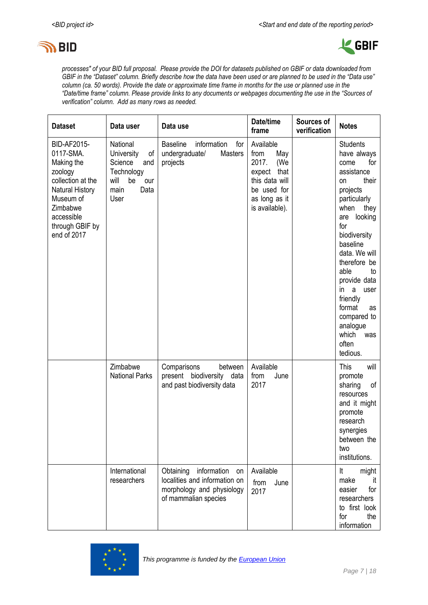



*processes" of your BID full proposal. Please provide the DOI for datasets published on GBIF or data downloaded from GBIF in the "Dataset" column. Briefly describe how the data have been used or are planned to be used in the "Data use" column (ca. 50 words). Provide the date or approximate time frame in months for the use or planned use in the "Date/time frame" column. Please provide links to any documents or webpages documenting the use in the "Sources of verification" column. Add as many rows as needed.*

| <b>Dataset</b>                                                                                                                                                            | Data user                                                                                                   | Data use                                                                                                          | Date/time<br>frame                                                                                                             | Sources of<br>verification | <b>Notes</b>                                                                                                                                                                                                                                                                                                                                                     |
|---------------------------------------------------------------------------------------------------------------------------------------------------------------------------|-------------------------------------------------------------------------------------------------------------|-------------------------------------------------------------------------------------------------------------------|--------------------------------------------------------------------------------------------------------------------------------|----------------------------|------------------------------------------------------------------------------------------------------------------------------------------------------------------------------------------------------------------------------------------------------------------------------------------------------------------------------------------------------------------|
| BID-AF2015-<br>0117-SMA.<br>Making the<br>zoology<br>collection at the<br><b>Natural History</b><br>Museum of<br>Zimbabwe<br>accessible<br>through GBIF by<br>end of 2017 | National<br>University<br>of I<br>Science<br>and<br>Technology<br>will<br>be<br>our<br>Data<br>main<br>User | information<br><b>Baseline</b><br>for<br>undergraduate/<br><b>Masters</b><br>projects                             | Available<br>from<br>May<br>2017.<br>(We<br>expect<br>that<br>this data will<br>be used for<br>as long as it<br>is available). |                            | <b>Students</b><br>have always<br>come<br>for<br>assistance<br>their<br><b>on</b><br>projects<br>particularly<br>when<br>they<br>looking<br>are<br>for<br>biodiversity<br>baseline<br>data. We will<br>therefore be<br>able<br>to<br>provide data<br>in<br>a<br>user<br>friendly<br>format<br>as<br>compared to<br>analogue<br>which<br>was<br>often<br>tedious. |
|                                                                                                                                                                           | Zimbabwe<br><b>National Parks</b>                                                                           | Comparisons<br>between<br>present biodiversity data<br>and past biodiversity data                                 | Available<br>June<br>from<br>2017                                                                                              |                            | This<br>will<br>promote<br>οf<br>sharing<br>resources<br>and it might<br>promote<br>research<br>synergies<br>between the<br>two<br>institutions.                                                                                                                                                                                                                 |
|                                                                                                                                                                           | International<br>researchers                                                                                | Obtaining information<br>on<br>localities and information on<br>morphology and physiology<br>of mammalian species | Available<br>June<br>from<br>2017                                                                                              |                            | It<br>might<br>make<br>it<br>for<br>easier<br>researchers<br>to first look<br>the<br>for<br>information                                                                                                                                                                                                                                                          |

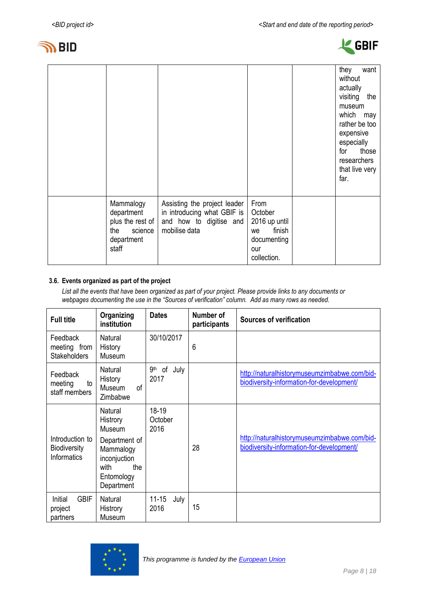



|                                                                                      |                                                                                                         |                                                                                       | they<br>want<br>without<br>actually<br>visiting<br>the<br>museum<br>which<br>may<br>rather be too<br>expensive<br>especially<br>those<br>for<br>researchers<br>that live very<br>far. |
|--------------------------------------------------------------------------------------|---------------------------------------------------------------------------------------------------------|---------------------------------------------------------------------------------------|---------------------------------------------------------------------------------------------------------------------------------------------------------------------------------------|
| Mammalogy<br>department<br>plus the rest of<br>science<br>the<br>department<br>staff | Assisting the project leader<br>in introducing what GBIF is<br>and how to digitise and<br>mobilise data | From<br>October<br>2016 up until<br>finish<br>we<br>documenting<br>our<br>collection. |                                                                                                                                                                                       |

### **3.6. Events organized as part of the project**

*List all the events that have been organized as part of your project. Please provide links to any documents or webpages documenting the use in the "Sources of verification" column. Add as many rows as needed.*

| <b>Full title</b>                                            | Organizing<br>institution                                                                                              | <b>Dates</b>                          | Number of<br>participants | <b>Sources of verification</b>                                                            |
|--------------------------------------------------------------|------------------------------------------------------------------------------------------------------------------------|---------------------------------------|---------------------------|-------------------------------------------------------------------------------------------|
| Feedback<br>meeting from<br><b>Stakeholders</b>              | Natural<br>History<br>Museum                                                                                           | 30/10/2017                            | 6                         |                                                                                           |
| Feedback<br>meeting<br>to<br>staff members                   | Natural<br>History<br>Museum<br>0f<br>Zimbabwe                                                                         | 9 <sup>th</sup><br>of<br>July<br>2017 |                           | http://naturalhistorymuseumzimbabwe.com/bid-<br>biodiversity-information-for-development/ |
| Introduction to<br><b>Biodiversity</b><br><b>Informatics</b> | Natural<br>Histrory<br>Museum<br>Department of<br>Mammalogy<br>inconjuction<br>with<br>the<br>Entomology<br>Department | $18-19$<br>October<br>2016            | 28                        | http://naturalhistorymuseumzimbabwe.com/bid-<br>biodiversity-information-for-development/ |
| <b>GBIF</b><br>Initial<br>project<br>partners                | Natural<br>Histrory<br>Museum                                                                                          | $11 - 15$<br>July<br>2016             | 15                        |                                                                                           |

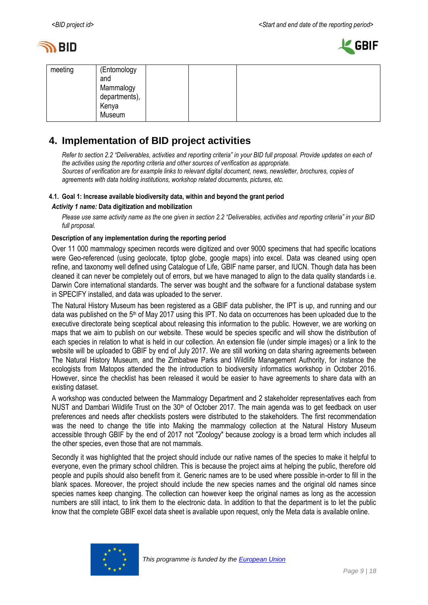



| meeting | (Entomology<br>and<br>Mammalogy<br>departments),<br>Kenya<br>Museum |  |  |
|---------|---------------------------------------------------------------------|--|--|
|         |                                                                     |  |  |

# <span id="page-8-0"></span>**4. Implementation of BID project activities**

*Refer to section 2.2 "Deliverables, activities and reporting criteria" in your BID full proposal. Provide updates on each of the activities using the reporting criteria and other sources of verification as appropriate. Sources of verification are for example links to relevant digital document, news, newsletter, brochures, copies of* 

*agreements with data holding institutions, workshop related documents, pictures, etc.*

### **4.1. Goal 1: Increase available biodiversity data, within and beyond the grant period**

### *Activity 1 name:* **Data digitization and mobilization**

*Please use same activity name as the one given in section 2.2 "Deliverables, activities and reporting criteria" in your BID full proposal.*

### **Description of any implementation during the reporting period**

Over 11 000 mammalogy specimen records were digitized and over 9000 specimens that had specific locations were Geo-referenced (using geolocate, tiptop globe, google maps) into excel. Data was cleaned using open refine, and taxonomy well defined using Catalogue of Life, GBIF name parser, and IUCN. Though data has been cleaned it can never be completely out of errors, but we have managed to align to the data quality standards i.e. Darwin Core international standards. The server was bought and the software for a functional database system in SPECIFY installed, and data was uploaded to the server.

The Natural History Museum has been registered as a GBIF data publisher, the IPT is up, and running and our data was published on the 5th of May 2017 using this IPT. No data on occurrences has been uploaded due to the executive directorate being sceptical about releasing this information to the public. However, we are working on maps that we aim to publish on our website. These would be species specific and will show the distribution of each species in relation to what is held in our collection. An extension file (under simple images) or a link to the website will be uploaded to GBIF by end of July 2017. We are still working on data sharing agreements between The Natural History Museum, and the Zimbabwe Parks and Wildlife Management Authority, for instance the ecologists from Matopos attended the the introduction to biodiversity informatics workshop in October 2016. However, since the checklist has been released it would be easier to have agreements to share data with an existing dataset.

A workshop was conducted between the Mammalogy Department and 2 stakeholder representatives each from NUST and Dambari Wildlife Trust on the  $30<sup>th</sup>$  of October 2017. The main agenda was to get feedback on user preferences and needs after checklists posters were distributed to the stakeholders. The first recommendation was the need to change the title into Making the mammalogy collection at the Natural History Museum accessible through GBIF by the end of 2017 not "Zoology" because zoology is a broad term which includes all the other species, even those that are not mammals.

Secondly it was highlighted that the project should include our native names of the species to make it helpful to everyone, even the primary school children. This is because the project aims at helping the public, therefore old people and pupils should also benefit from it. Generic names are to be used where possible in-order to fill in the blank spaces. Moreover, the project should include the new species names and the original old names since species names keep changing. The collection can however keep the original names as long as the accession numbers are still intact, to link them to the electronic data. In addition to that the department is to let the public know that the complete GBIF excel data sheet is available upon request, only the Meta data is available online.

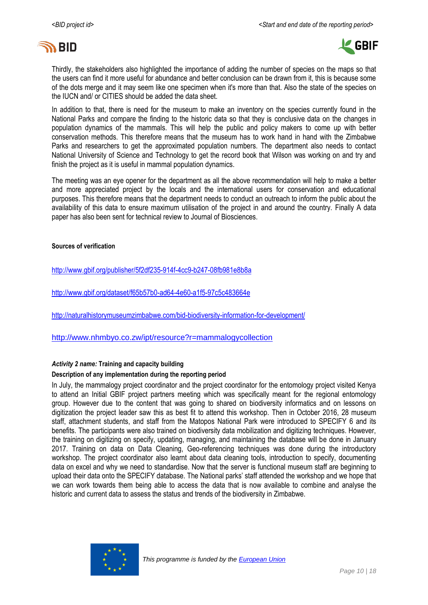



Thirdly, the stakeholders also highlighted the importance of adding the number of species on the maps so that the users can find it more useful for abundance and better conclusion can be drawn from it, this is because some of the dots merge and it may seem like one specimen when it's more than that. Also the state of the species on the IUCN and/ or CITIES should be added the data sheet.

In addition to that, there is need for the museum to make an inventory on the species currently found in the National Parks and compare the finding to the historic data so that they is conclusive data on the changes in population dynamics of the mammals. This will help the public and policy makers to come up with better conservation methods. This therefore means that the museum has to work hand in hand with the Zimbabwe Parks and researchers to get the approximated population numbers. The department also needs to contact National University of Science and Technology to get the record book that Wilson was working on and try and finish the project as it is useful in mammal population dynamics.

The meeting was an eye opener for the department as all the above recommendation will help to make a better and more appreciated project by the locals and the international users for conservation and educational purposes. This therefore means that the department needs to conduct an outreach to inform the public about the availability of this data to ensure maximum utilisation of the project in and around the country. Finally A data paper has also been sent for technical review to Journal of Biosciences.

#### **Sources of verification**

<http://www.gbif.org/publisher/5f2df235-914f-4cc9-b247-08fb981e8b8a>

<http://www.gbif.org/dataset/f65b57b0-ad64-4e60-a1f5-97c5c483664e>

<http://naturalhistorymuseumzimbabwe.com/bid-biodiversity-information-for-development/>

<http://www.nhmbyo.co.zw/ipt/resource?r=mammalogycollection>

### *Activity 2 name:* **Training and capacity building**

### **Description of any implementation during the reporting period**

In July, the mammalogy project coordinator and the project coordinator for the entomology project visited Kenya to attend an Initial GBIF project partners meeting which was specifically meant for the regional entomology group. However due to the content that was going to shared on biodiversity informatics and on lessons on digitization the project leader saw this as best fit to attend this workshop. Then in October 2016, 28 museum staff, attachment students, and staff from the Matopos National Park were introduced to SPECIFY 6 and its benefits. The participants were also trained on biodiversity data mobilization and digitizing techniques. However, the training on digitizing on specify, updating, managing, and maintaining the database will be done in January 2017. Training on data on Data Cleaning, Geo-referencing techniques was done during the introductory workshop. The project coordinator also learnt about data cleaning tools, introduction to specify, documenting data on excel and why we need to standardise. Now that the server is functional museum staff are beginning to upload their data onto the SPECIFY database. The National parks' staff attended the workshop and we hope that we can work towards them being able to access the data that is now available to combine and analyse the historic and current data to assess the status and trends of the biodiversity in Zimbabwe.

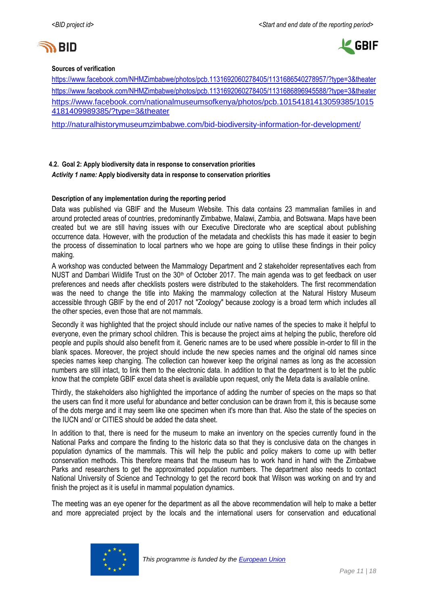



#### **Sources of verification**

<https://www.facebook.com/NHMZimbabwe/photos/pcb.1131692060278405/1131686540278957/?type=3&theater> <https://www.facebook.com/NHMZimbabwe/photos/pcb.1131692060278405/1131686896945588/?type=3&theater> [https://www.facebook.com/nationalmuseumsofkenya/photos/pcb.10154181413059385/1015](https://www.facebook.com/nationalmuseumsofkenya/photos/pcb.10154181413059385/10154181409989385/?type=3&theater) [4181409989385/?type=3&theater](https://www.facebook.com/nationalmuseumsofkenya/photos/pcb.10154181413059385/10154181409989385/?type=3&theater)

<http://naturalhistorymuseumzimbabwe.com/bid-biodiversity-information-for-development/>

**4.2. Goal 2: Apply biodiversity data in response to conservation priorities** *Activity 1 name:* **Apply biodiversity data in response to conservation priorities**

### **Description of any implementation during the reporting period**

Data was published via GBIF and the Museum Website. This data contains 23 mammalian families in and around protected areas of countries, predominantly Zimbabwe, Malawi, Zambia, and Botswana. Maps have been created but we are still having issues with our Executive Directorate who are sceptical about publishing occurrence data. However, with the production of the metadata and checklists this has made it easier to begin the process of dissemination to local partners who we hope are going to utilise these findings in their policy making.

A workshop was conducted between the Mammalogy Department and 2 stakeholder representatives each from NUST and Dambari Wildlife Trust on the 30<sup>th</sup> of October 2017. The main agenda was to get feedback on user preferences and needs after checklists posters were distributed to the stakeholders. The first recommendation was the need to change the title into Making the mammalogy collection at the Natural History Museum accessible through GBIF by the end of 2017 not "Zoology" because zoology is a broad term which includes all the other species, even those that are not mammals.

Secondly it was highlighted that the project should include our native names of the species to make it helpful to everyone, even the primary school children. This is because the project aims at helping the public, therefore old people and pupils should also benefit from it. Generic names are to be used where possible in-order to fill in the blank spaces. Moreover, the project should include the new species names and the original old names since species names keep changing. The collection can however keep the original names as long as the accession numbers are still intact, to link them to the electronic data. In addition to that the department is to let the public know that the complete GBIF excel data sheet is available upon request, only the Meta data is available online.

Thirdly, the stakeholders also highlighted the importance of adding the number of species on the maps so that the users can find it more useful for abundance and better conclusion can be drawn from it, this is because some of the dots merge and it may seem like one specimen when it's more than that. Also the state of the species on the IUCN and/ or CITIES should be added the data sheet.

In addition to that, there is need for the museum to make an inventory on the species currently found in the National Parks and compare the finding to the historic data so that they is conclusive data on the changes in population dynamics of the mammals. This will help the public and policy makers to come up with better conservation methods. This therefore means that the museum has to work hand in hand with the Zimbabwe Parks and researchers to get the approximated population numbers. The department also needs to contact National University of Science and Technology to get the record book that Wilson was working on and try and finish the project as it is useful in mammal population dynamics.

The meeting was an eye opener for the department as all the above recommendation will help to make a better and more appreciated project by the locals and the international users for conservation and educational

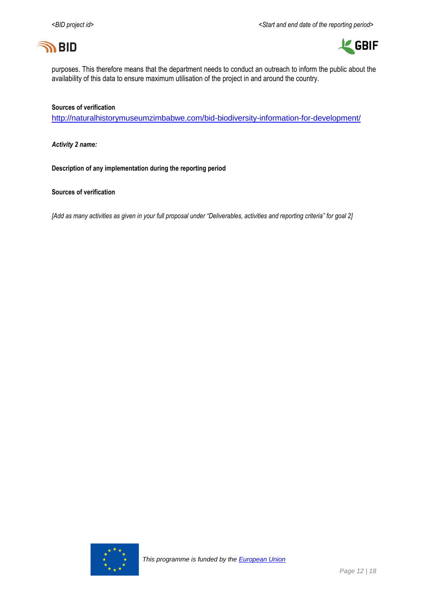



purposes. This therefore means that the department needs to conduct an outreach to inform the public about the availability of this data to ensure maximum utilisation of the project in and around the country.

#### **Sources of verification**

<http://naturalhistorymuseumzimbabwe.com/bid-biodiversity-information-for-development/>

*Activity 2 name:*

**Description of any implementation during the reporting period**

**Sources of verification**

*[Add as many activities as given in your full proposal under "Deliverables, activities and reporting criteria" for goal 2]*

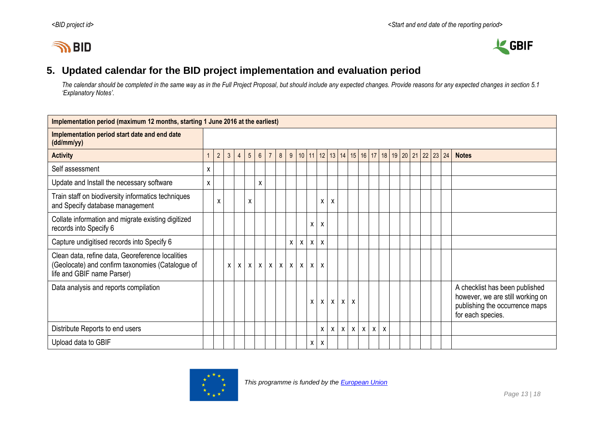# **IN BID**



# **5. Updated calendar for the BID project implementation and evaluation period**

*The calendar should be completed in the same way as in the Full Project Proposal, but should include any expected changes. Provide reasons for any expected changes in section 5.1 'Explanatory Notes'.*

<span id="page-12-0"></span>

| Implementation period (maximum 12 months, starting 1 June 2016 at the earliest)                                                    |   |            |                |                |                   |                 |                |   |              |              |              |              |              |              |                           |              |              |              |  |                      |  |  |                                                                                                                           |
|------------------------------------------------------------------------------------------------------------------------------------|---|------------|----------------|----------------|-------------------|-----------------|----------------|---|--------------|--------------|--------------|--------------|--------------|--------------|---------------------------|--------------|--------------|--------------|--|----------------------|--|--|---------------------------------------------------------------------------------------------------------------------------|
| Implementation period start date and end date<br>(dd/mm/yy)                                                                        |   |            |                |                |                   |                 |                |   |              |              |              |              |              |              |                           |              |              |              |  |                      |  |  |                                                                                                                           |
| <b>Activity</b>                                                                                                                    |   | $\sqrt{2}$ | $\mathfrak{Z}$ | $\overline{4}$ | $5\phantom{.0}$   | $6\overline{6}$ | $\overline{7}$ | 8 | 9            |              |              | $10$ 11 12   | 13           |              |                           | 14   15   16 | 17           |              |  | 18 19 20 21 22 23 24 |  |  | <b>Notes</b>                                                                                                              |
| Self assessment                                                                                                                    | X |            |                |                |                   |                 |                |   |              |              |              |              |              |              |                           |              |              |              |  |                      |  |  |                                                                                                                           |
| Update and Install the necessary software                                                                                          | X |            |                |                |                   | X               |                |   |              |              |              |              |              |              |                           |              |              |              |  |                      |  |  |                                                                                                                           |
| Train staff on biodiversity informatics techniques<br>and Specify database management                                              |   | X          |                |                | X                 |                 |                |   |              |              |              | X            | X            |              |                           |              |              |              |  |                      |  |  |                                                                                                                           |
| Collate information and migrate existing digitized<br>records into Specify 6                                                       |   |            |                |                |                   |                 |                |   |              |              | X            | x            |              |              |                           |              |              |              |  |                      |  |  |                                                                                                                           |
| Capture undigitised records into Specify 6                                                                                         |   |            |                |                |                   |                 |                |   | X            | $\pmb{\chi}$ | $\mathsf{X}$ | $\mathsf{x}$ |              |              |                           |              |              |              |  |                      |  |  |                                                                                                                           |
| Clean data, refine data, Georeference localities<br>(Geolocate) and confirm taxonomies (Catalogue of<br>life and GBIF name Parser) |   |            | X              |                | x   x   x   x   x |                 |                |   | $\mathsf{X}$ | $\mathsf{X}$ | $\mathsf{X}$ | X            |              |              |                           |              |              |              |  |                      |  |  |                                                                                                                           |
| Data analysis and reports compilation                                                                                              |   |            |                |                |                   |                 |                |   |              |              | $\mathsf{x}$ | $\mathsf{X}$ | $\mathsf{X}$ | $\mathsf{x}$ | X                         |              |              |              |  |                      |  |  | A checklist has been published<br>however, we are still working on<br>publishing the occurrence maps<br>for each species. |
| Distribute Reports to end users                                                                                                    |   |            |                |                |                   |                 |                |   |              |              |              | X            | $\mathsf{X}$ | $\mathsf{X}$ | $\boldsymbol{\mathsf{x}}$ | $\mathsf{X}$ | $\mathsf{X}$ | $\mathsf{x}$ |  |                      |  |  |                                                                                                                           |
| Upload data to GBIF                                                                                                                |   |            |                |                |                   |                 |                |   |              |              | X            | X            |              |              |                           |              |              |              |  |                      |  |  |                                                                                                                           |

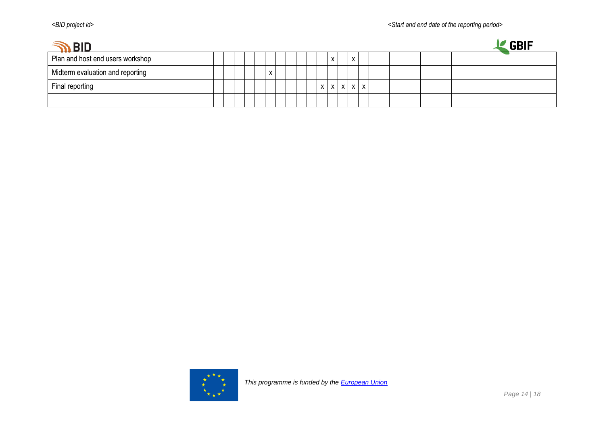| BID ה                            |  |  |  |                           |  |  |    |              |            |   |  |  |  |  | <b>GBIF</b> |  |
|----------------------------------|--|--|--|---------------------------|--|--|----|--------------|------------|---|--|--|--|--|-------------|--|
| Plan and host end users workshop |  |  |  |                           |  |  |    | X            | x          |   |  |  |  |  |             |  |
| Midterm evaluation and reporting |  |  |  | $\mathbf{v}$<br>$\lambda$ |  |  |    |              |            |   |  |  |  |  |             |  |
| Final reporting                  |  |  |  |                           |  |  | X. | $\mathsf{X}$ | $X \mid X$ | X |  |  |  |  |             |  |
|                                  |  |  |  |                           |  |  |    |              |            |   |  |  |  |  |             |  |

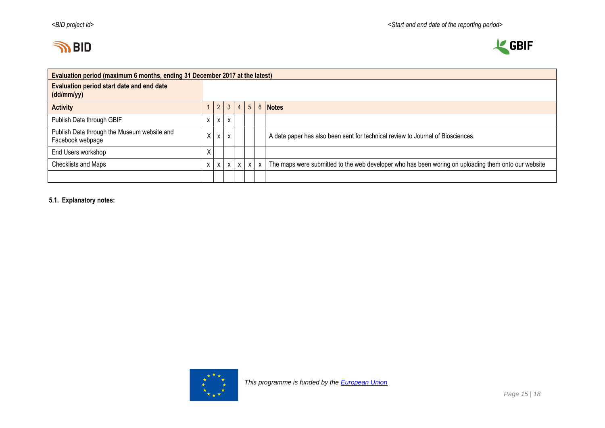



| Evaluation period (maximum 6 months, ending 31 December 2017 at the latest) |   |               |                           |                |                |             |                                                                                                     |  |  |  |  |  |
|-----------------------------------------------------------------------------|---|---------------|---------------------------|----------------|----------------|-------------|-----------------------------------------------------------------------------------------------------|--|--|--|--|--|
| Evaluation period start date and end date<br>(dd/mm/yy)                     |   |               |                           |                |                |             |                                                                                                     |  |  |  |  |  |
| <b>Activity</b>                                                             |   | $\mathcal{P}$ | $\overline{3}$            | $\overline{4}$ | 5 <sup>5</sup> |             | 6 Notes                                                                                             |  |  |  |  |  |
| Publish Data through GBIF                                                   |   | x             | $\boldsymbol{\mathsf{x}}$ |                |                |             |                                                                                                     |  |  |  |  |  |
| Publish Data through the Museum website and<br>Facebook webpage             | X |               |                           |                |                |             | A data paper has also been sent for technical review to Journal of Biosciences.                     |  |  |  |  |  |
| End Users workshop                                                          | χ |               |                           |                |                |             |                                                                                                     |  |  |  |  |  |
| Checklists and Maps                                                         |   | X             | $\mathsf{x}$              | X              | $\mathsf{x}$   | $\mathbf x$ | The maps were submitted to the web developer who has been woring on uploading them onto our website |  |  |  |  |  |
|                                                                             |   |               |                           |                |                |             |                                                                                                     |  |  |  |  |  |

**5.1. Explanatory notes:**

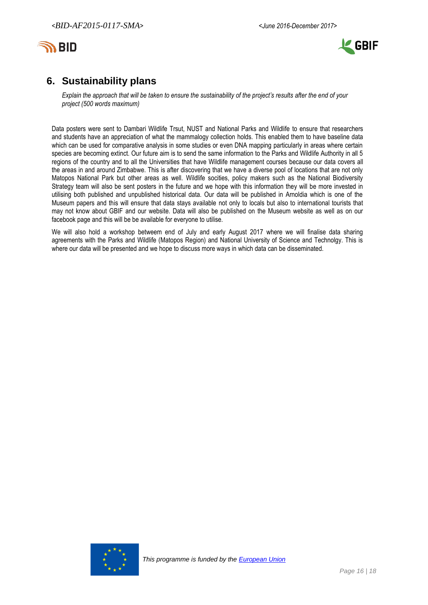



# <span id="page-15-0"></span>**6. Sustainability plans**

*Explain the approach that will be taken to ensure the sustainability of the project's results after the end of your project (500 words maximum)*

Data posters were sent to Dambari Wildlife Trsut, NUST and National Parks and Wildlife to ensure that researchers and students have an appreciation of what the mammalogy collection holds. This enabled them to have baseline data which can be used for comparative analysis in some studies or even DNA mapping particularly in areas where certain species are becoming extinct. Our future aim is to send the same information to the Parks and Wildlife Authority in all 5 regions of the country and to all the Universities that have Wildlife management courses because our data covers all the areas in and around Zimbabwe. This is after discovering that we have a diverse pool of locations that are not only Matopos National Park but other areas as well. Wildlife socities, policy makers such as the National Biodiversity Strategy team will also be sent posters in the future and we hope with this information they will be more invested in utilising both published and unpublished historical data. Our data will be published in Arnoldia which is one of the Museum papers and this will ensure that data stays available not only to locals but also to international tourists that may not know about GBIF and our website. Data will also be published on the Museum website as well as on our facebook page and this will be be available for everyone to utilise.

We will also hold a workshop betweem end of July and early August 2017 where we will finalise data sharing agreements with the Parks and Wildlife (Matopos Region) and National University of Science and Technolgy. This is where our data will be presented and we hope to discuss more ways in which data can be disseminated.

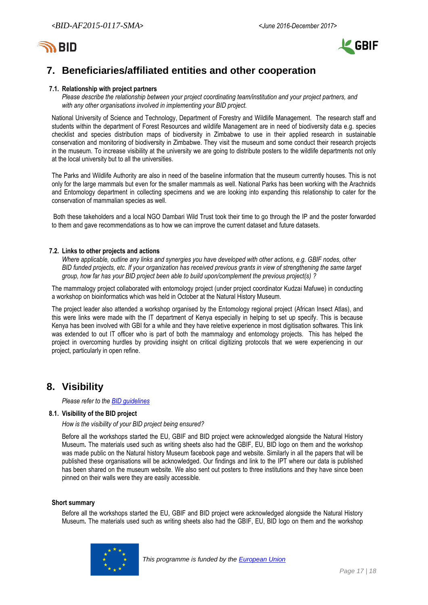



# <span id="page-16-0"></span>**7. Beneficiaries/affiliated entities and other cooperation**

#### **7.1. Relationship with project partners**

*Please describe the relationship between your project coordinating team/institution and your project partners, and with any other organisations involved in implementing your BID project.*

National University of Science and Technology, Department of Forestry and Wildlife Management. The research staff and students within the department of Forest Resources and wildlife Management are in need of biodiversity data e.g. species checklist and species distribution maps of biodiversity in Zimbabwe to use in their applied research in sustainable conservation and monitoring of biodiversity in Zimbabwe. They visit the museum and some conduct their research projects in the museum. To increase visibility at the university we are going to distribute posters to the wildlife departments not only at the local university but to all the universities.

The Parks and Wildlife Authority are also in need of the baseline information that the museum currently houses. This is not only for the large mammals but even for the smaller mammals as well. National Parks has been working with the Arachnids and Entomology department in collecting specimens and we are looking into expanding this relationship to cater for the conservation of mammalian species as well.

Both these takeholders and a local NGO Dambari Wild Trust took their time to go through the IP and the poster forwarded to them and gave recommendations as to how we can improve the current dataset and future datasets.

#### **7.2. Links to other projects and actions**

*Where applicable, outline any links and synergies you have developed with other actions, e.g. GBIF nodes, other BID funded projects, etc. If your organization has received previous grants in view of strengthening the same target group, how far has your BID project been able to build upon/complement the previous project(s) ?*

The mammalogy project collaborated with entomology project (under project coordinator Kudzai Mafuwe) in conducting a workshop on bioinformatics which was held in October at the Natural History Museum.

The project leader also attended a workshop organised by the Entomology regional project (African Insect Atlas), and this were links were made with the IT department of Kenya especially in helping to set up specify. This is because Kenya has been involved with GBI for a while and they have reletive experience in most digitisation softwares. This link was extended to out IT officer who is part of both the mammalogy and entomology projects. This has helped the project in overcoming hurdles by providing insight on critical digitizing protocols that we were experiencing in our project, particularly in open refine.

# <span id="page-16-1"></span>**8. Visibility**

*Please refer to th[e BID guidelines](http://bid.gbif.org/en/community/communication-guidelines/)*

#### **8.1. Visibility of the BID project**

*How is the visibility of your BID project being ensured?*

Before all the workshops started the EU, GBIF and BID project were acknowledged alongside the Natural History Museum*.* The materials used such as writing sheets also had the GBIF, EU, BID logo on them and the workshop was made public on the Natural history Museum facebook page and website. Similarly in all the papers that will be published these organisations will be acknowledged. Our findings and link to the IPT where our data is published has been shared on the museum website. We also sent out posters to three institutions and they have since been pinned on their walls were they are easily accessible.

#### **Short summary**

Before all the workshops started the EU, GBIF and BID project were acknowledged alongside the Natural History Museum*.* The materials used such as writing sheets also had the GBIF, EU, BID logo on them and the workshop